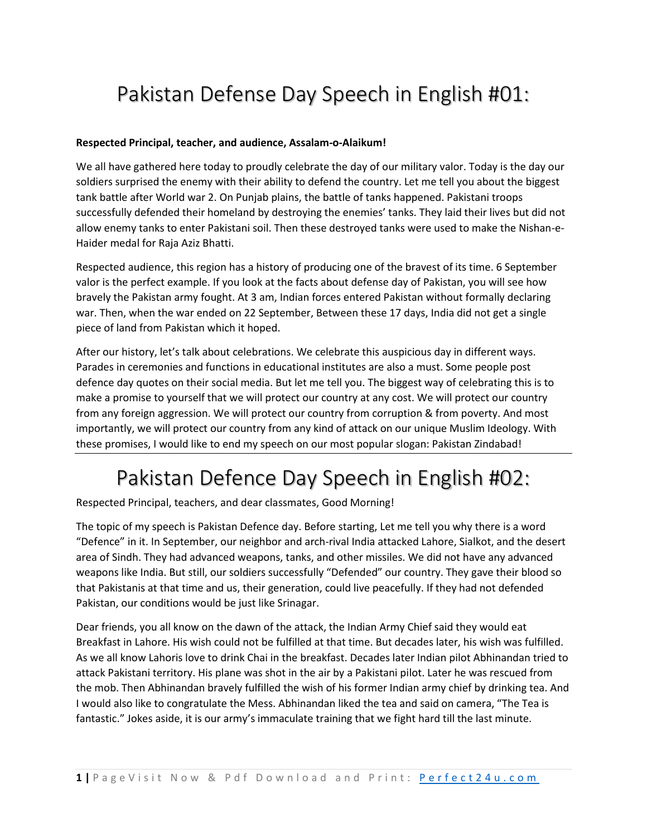## Pakistan Defense Day Speech in English #01:

#### **Respected Principal, teacher, and audience, Assalam-o-Alaikum!**

We all have gathered here today to proudly celebrate the day of our military valor. Today is the day our soldiers surprised the enemy with their ability to defend the country. Let me tell you about the biggest tank battle after World war 2. On Punjab plains, the battle of tanks happened. Pakistani troops successfully defended their homeland by destroying the enemies' tanks. They laid their lives but did not allow enemy tanks to enter Pakistani soil. Then these destroyed tanks were used to make the Nishan-e-Haider medal for Raja Aziz Bhatti.

Respected audience, this region has a history of producing one of the bravest of its time. 6 September valor is the perfect example. If you look at the facts about defense day of Pakistan, you will see how bravely the Pakistan army fought. At 3 am, Indian forces entered Pakistan without formally declaring war. Then, when the war ended on 22 September, Between these 17 days, India did not get a single piece of land from Pakistan which it hoped.

After our history, let's talk about celebrations. We celebrate this auspicious day in different ways. Parades in ceremonies and functions in educational institutes are also a must. Some people post defence day quotes on their social media. But let me tell you. The biggest way of celebrating this is to make a promise to yourself that we will protect our country at any cost. We will protect our country from any foreign aggression. We will protect our country from corruption & from poverty. And most importantly, we will protect our country from any kind of attack on our unique Muslim Ideology. With these promises, I would like to end my speech on our most popular slogan: Pakistan Zindabad!

### Pakistan Defence Day Speech in English #02:

Respected Principal, teachers, and dear classmates, Good Morning!

The topic of my speech is Pakistan Defence day. Before starting, Let me tell you why there is a word "Defence" in it. In September, our neighbor and arch-rival India attacked Lahore, Sialkot, and the desert area of Sindh. They had advanced weapons, tanks, and other missiles. We did not have any advanced weapons like India. But still, our soldiers successfully "Defended" our country. They gave their blood so that Pakistanis at that time and us, their generation, could live peacefully. If they had not defended Pakistan, our conditions would be just like Srinagar.

Dear friends, you all know on the dawn of the attack, the Indian Army Chief said they would eat Breakfast in Lahore. His wish could not be fulfilled at that time. But decades later, his wish was fulfilled. As we all know Lahoris love to drink Chai in the breakfast. Decades later Indian pilot Abhinandan tried to attack Pakistani territory. His plane was shot in the air by a Pakistani pilot. Later he was rescued from the mob. Then Abhinandan bravely fulfilled the wish of his former Indian army chief by drinking tea. And I would also like to congratulate the Mess. Abhinandan liked the tea and said on camera, "The Tea is fantastic." Jokes aside, it is our army's immaculate training that we fight hard till the last minute.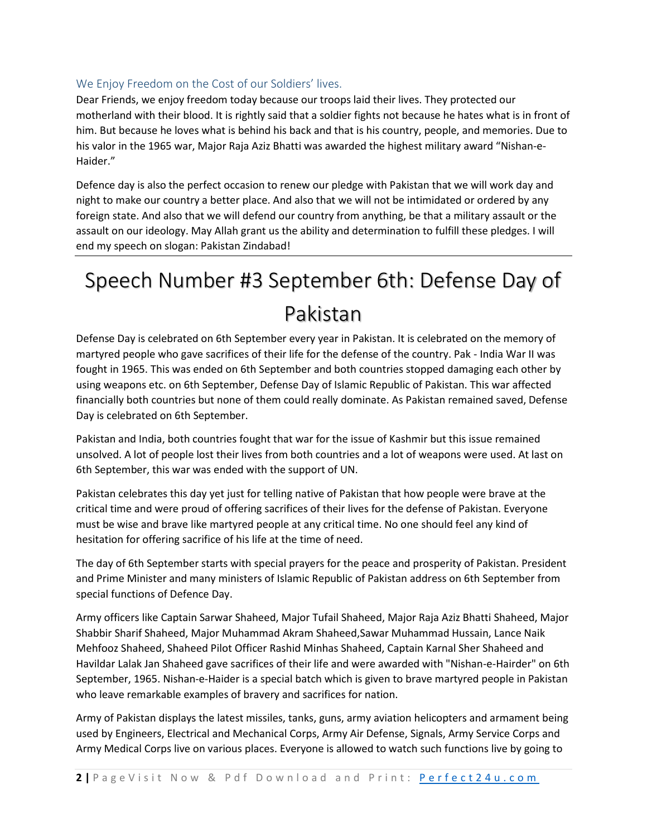### We Enjoy Freedom on the Cost of our Soldiers' lives.

Dear Friends, we enjoy freedom today because our troops laid their lives. They protected our motherland with their blood. It is rightly said that a soldier fights not because he hates what is in front of him. But because he loves what is behind his back and that is his country, people, and memories. Due to his valor in the 1965 war, Major Raja Aziz Bhatti was awarded the highest military award "Nishan-e-Haider."

Defence day is also the perfect occasion to renew our pledge with Pakistan that we will work day and night to make our country a better place. And also that we will not be intimidated or ordered by any foreign state. And also that we will defend our country from anything, be that a military assault or the assault on our ideology. May Allah grant us the ability and determination to fulfill these pledges. I will end my speech on slogan: Pakistan Zindabad!

# Speech Number #3 September 6th: Defense Day of Pakistan

Defense Day is celebrated on 6th September every year in Pakistan. It is celebrated on the memory of martyred people who gave sacrifices of their life for the defense of the country. Pak - India War II was fought in 1965. This was ended on 6th September and both countries stopped damaging each other by using weapons etc. on 6th September, Defense Day of Islamic Republic of Pakistan. This war affected financially both countries but none of them could really dominate. As Pakistan remained saved, Defense Day is celebrated on 6th September.

Pakistan and India, both countries fought that war for the issue of Kashmir but this issue remained unsolved. A lot of people lost their lives from both countries and a lot of weapons were used. At last on 6th September, this war was ended with the support of UN.

Pakistan celebrates this day yet just for telling native of Pakistan that how people were brave at the critical time and were proud of offering sacrifices of their lives for the defense of Pakistan. Everyone must be wise and brave like martyred people at any critical time. No one should feel any kind of hesitation for offering sacrifice of his life at the time of need.

The day of 6th September starts with special prayers for the peace and prosperity of Pakistan. President and Prime Minister and many ministers of Islamic Republic of Pakistan address on 6th September from special functions of Defence Day.

Army officers like Captain Sarwar Shaheed, Major Tufail Shaheed, Major Raja Aziz Bhatti Shaheed, Major Shabbir Sharif Shaheed, Major Muhammad Akram Shaheed,Sawar Muhammad Hussain, Lance Naik Mehfooz Shaheed, Shaheed Pilot Officer Rashid Minhas Shaheed, Captain Karnal Sher Shaheed and Havildar Lalak Jan Shaheed gave sacrifices of their life and were awarded with "Nishan-e-Hairder" on 6th September, 1965. Nishan-e-Haider is a special batch which is given to brave martyred people in Pakistan who leave remarkable examples of bravery and sacrifices for nation.

Army of Pakistan displays the latest missiles, tanks, guns, army aviation helicopters and armament being used by Engineers, Electrical and Mechanical Corps, Army Air Defense, Signals, Army Service Corps and Army Medical Corps live on various places. Everyone is allowed to watch such functions live by going to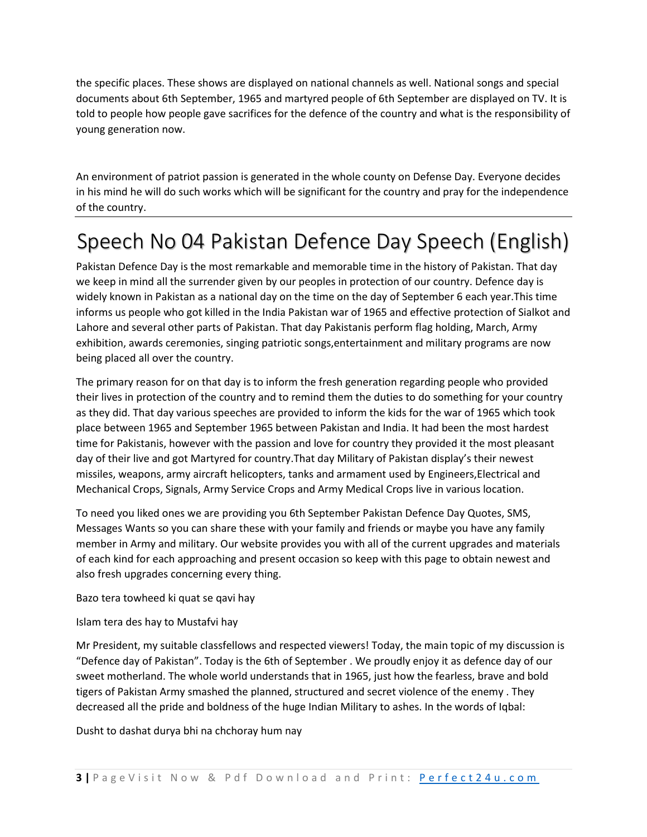the specific places. These shows are displayed on national channels as well. National songs and special documents about 6th September, 1965 and martyred people of 6th September are displayed on TV. It is told to people how people gave sacrifices for the defence of the country and what is the responsibility of young generation now.

An environment of patriot passion is generated in the whole county on Defense Day. Everyone decides in his mind he will do such works which will be significant for the country and pray for the independence of the country.

### Speech No 04 Pakistan Defence Day Speech (English)

Pakistan Defence Day is the most remarkable and memorable time in the history of Pakistan. That day we keep in mind all the surrender given by our peoples in protection of our country. Defence day is widely known in Pakistan as a national day on the time on the day of September 6 each year.This time informs us people who got killed in the India Pakistan war of 1965 and effective protection of Sialkot and Lahore and several other parts of Pakistan. That day Pakistanis perform flag holding, March, Army exhibition, awards ceremonies, singing patriotic songs,entertainment and military programs are now being placed all over the country.

The primary reason for on that day is to inform the fresh generation regarding people who provided their lives in protection of the country and to remind them the duties to do something for your country as they did. That day various speeches are provided to inform the kids for the war of 1965 which took place between 1965 and September 1965 between Pakistan and India. It had been the most hardest time for Pakistanis, however with the passion and love for country they provided it the most pleasant day of their live and got Martyred for country.That day Military of Pakistan display's their newest missiles, weapons, army aircraft helicopters, tanks and armament used by Engineers,Electrical and Mechanical Crops, Signals, Army Service Crops and Army Medical Crops live in various location.

To need you liked ones we are providing you 6th September Pakistan Defence Day Quotes, SMS, Messages Wants so you can share these with your family and friends or maybe you have any family member in Army and military. Our website provides you with all of the current upgrades and materials of each kind for each approaching and present occasion so keep with this page to obtain newest and also fresh upgrades concerning every thing.

Bazo tera towheed ki quat se qavi hay

Islam tera des hay to Mustafvi hay

Mr President, my suitable classfellows and respected viewers! Today, the main topic of my discussion is "Defence day of Pakistan". Today is the 6th of September . We proudly enjoy it as defence day of our sweet motherland. The whole world understands that in 1965, just how the fearless, brave and bold tigers of Pakistan Army smashed the planned, structured and secret violence of the enemy . They decreased all the pride and boldness of the huge Indian Military to ashes. In the words of Iqbal:

Dusht to dashat durya bhi na chchoray hum nay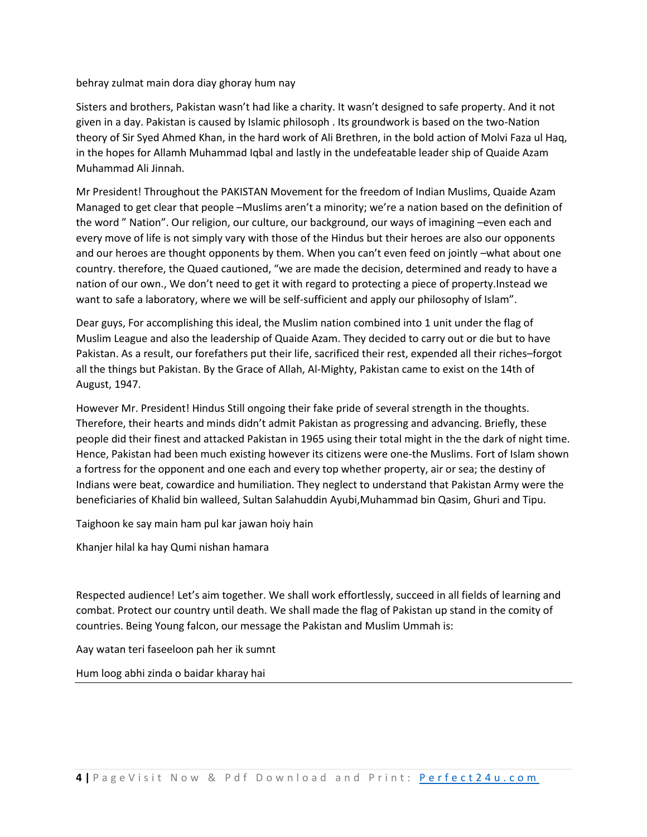behray zulmat main dora diay ghoray hum nay

Sisters and brothers, Pakistan wasn't had like a charity. It wasn't designed to safe property. And it not given in a day. Pakistan is caused by Islamic philosoph . Its groundwork is based on the two-Nation theory of Sir Syed Ahmed Khan, in the hard work of Ali Brethren, in the bold action of Molvi Faza ul Haq, in the hopes for Allamh Muhammad Iqbal and lastly in the undefeatable leader ship of Quaide Azam Muhammad Ali Jinnah.

Mr President! Throughout the PAKISTAN Movement for the freedom of Indian Muslims, Quaide Azam Managed to get clear that people –Muslims aren't a minority; we're a nation based on the definition of the word " Nation". Our religion, our culture, our background, our ways of imagining –even each and every move of life is not simply vary with those of the Hindus but their heroes are also our opponents and our heroes are thought opponents by them. When you can't even feed on jointly –what about one country. therefore, the Quaed cautioned, "we are made the decision, determined and ready to have a nation of our own., We don't need to get it with regard to protecting a piece of property.Instead we want to safe a laboratory, where we will be self-sufficient and apply our philosophy of Islam".

Dear guys, For accomplishing this ideal, the Muslim nation combined into 1 unit under the flag of Muslim League and also the leadership of Quaide Azam. They decided to carry out or die but to have Pakistan. As a result, our forefathers put their life, sacrificed their rest, expended all their riches–forgot all the things but Pakistan. By the Grace of Allah, Al-Mighty, Pakistan came to exist on the 14th of August, 1947.

However Mr. President! Hindus Still ongoing their fake pride of several strength in the thoughts. Therefore, their hearts and minds didn't admit Pakistan as progressing and advancing. Briefly, these people did their finest and attacked Pakistan in 1965 using their total might in the the dark of night time. Hence, Pakistan had been much existing however its citizens were one-the Muslims. Fort of Islam shown a fortress for the opponent and one each and every top whether property, air or sea; the destiny of Indians were beat, cowardice and humiliation. They neglect to understand that Pakistan Army were the beneficiaries of Khalid bin walleed, Sultan Salahuddin Ayubi,Muhammad bin Qasim, Ghuri and Tipu.

Taighoon ke say main ham pul kar jawan hoiy hain

Khanjer hilal ka hay Qumi nishan hamara

Respected audience! Let's aim together. We shall work effortlessly, succeed in all fields of learning and combat. Protect our country until death. We shall made the flag of Pakistan up stand in the comity of countries. Being Young falcon, our message the Pakistan and Muslim Ummah is:

Aay watan teri faseeloon pah her ik sumnt

Hum loog abhi zinda o baidar kharay hai